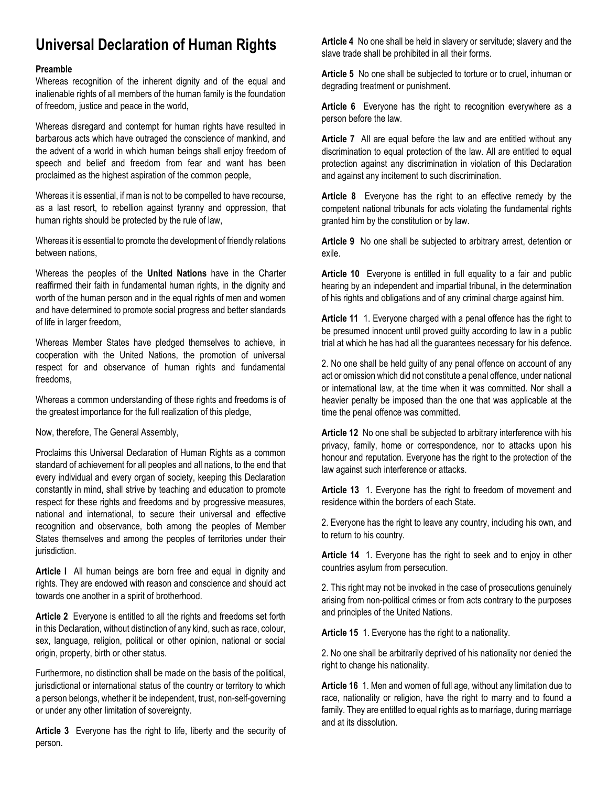## **Universal Declaration of Human Rights**

## **Preamble**

Whereas recognition of the inherent dignity and of the equal and inalienable rights of all members of the human family is the foundation of freedom, justice and peace in the world,

Whereas disregard and contempt for human rights have resulted in barbarous acts which have outraged the conscience of mankind, and the advent of a world in which human beings shall enjoy freedom of speech and belief and freedom from fear and want has been proclaimed as the highest aspiration of the common people,

Whereas it is essential, if man is not to be compelled to have recourse, as a last resort, to rebellion against tyranny and oppression, that human rights should be protected by the rule of law,

Whereas it is essential to promote the development of friendly relations between nations,

Whereas the peoples of the **United Nations** have in the Charter reaffirmed their faith in fundamental human rights, in the dignity and worth of the human person and in the equal rights of men and women and have determined to promote social progress and better standards of life in larger freedom,

Whereas Member States have pledged themselves to achieve, in cooperation with the United Nations, the promotion of universal respect for and observance of human rights and fundamental freedoms,

Whereas a common understanding of these rights and freedoms is of the greatest importance for the full realization of this pledge,

Now, therefore, The General Assembly,

Proclaims this Universal Declaration of Human Rights as a common standard of achievement for all peoples and all nations, to the end that every individual and every organ of society, keeping this Declaration constantly in mind, shall strive by teaching and education to promote respect for these rights and freedoms and by progressive measures, national and international, to secure their universal and effective recognition and observance, both among the peoples of Member States themselves and among the peoples of territories under their jurisdiction.

**Article I** All human beings are born free and equal in dignity and rights. They are endowed with reason and conscience and should act towards one another in a spirit of brotherhood.

**Article 2** Everyone is entitled to all the rights and freedoms set forth in this Declaration, without distinction of any kind, such as race, colour, sex, language, religion, political or other opinion, national or social origin, property, birth or other status.

Furthermore, no distinction shall be made on the basis of the political, jurisdictional or international status of the country or territory to which a person belongs, whether it be independent, trust, non-self-governing or under any other limitation of sovereignty.

**Article 3** Everyone has the right to life, liberty and the security of person.

**Article 4** No one shall be held in slavery or servitude; slavery and the slave trade shall be prohibited in all their forms.

**Article 5** No one shall be subjected to torture or to cruel, inhuman or degrading treatment or punishment.

**Article 6** Everyone has the right to recognition everywhere as a person before the law.

**Article 7** All are equal before the law and are entitled without any discrimination to equal protection of the law. All are entitled to equal protection against any discrimination in violation of this Declaration and against any incitement to such discrimination.

**Article 8** Everyone has the right to an effective remedy by the competent national tribunals for acts violating the fundamental rights granted him by the constitution or by law.

**Article 9** No one shall be subjected to arbitrary arrest, detention or exile.

**Article 10** Everyone is entitled in full equality to a fair and public hearing by an independent and impartial tribunal, in the determination of his rights and obligations and of any criminal charge against him.

**Article 11** 1. Everyone charged with a penal offence has the right to be presumed innocent until proved guilty according to law in a public trial at which he has had all the guarantees necessary for his defence.

2. No one shall be held guilty of any penal offence on account of any act or omission which did not constitute a penal offence, under national or international law, at the time when it was committed. Nor shall a heavier penalty be imposed than the one that was applicable at the time the penal offence was committed.

**Article 12** No one shall be subjected to arbitrary interference with his privacy, family, home or correspondence, nor to attacks upon his honour and reputation. Everyone has the right to the protection of the law against such interference or attacks.

**Article 13** 1. Everyone has the right to freedom of movement and residence within the borders of each State.

2. Everyone has the right to leave any country, including his own, and to return to his country.

**Article 14** 1. Everyone has the right to seek and to enjoy in other countries asylum from persecution.

2. This right may not be invoked in the case of prosecutions genuinely arising from non-political crimes or from acts contrary to the purposes and principles of the United Nations.

**Article 15** 1. Everyone has the right to a nationality.

2. No one shall be arbitrarily deprived of his nationality nor denied the right to change his nationality.

**Article 16** 1. Men and women of full age, without any limitation due to race, nationality or religion, have the right to marry and to found a family. They are entitled to equal rights as to marriage, during marriage and at its dissolution.